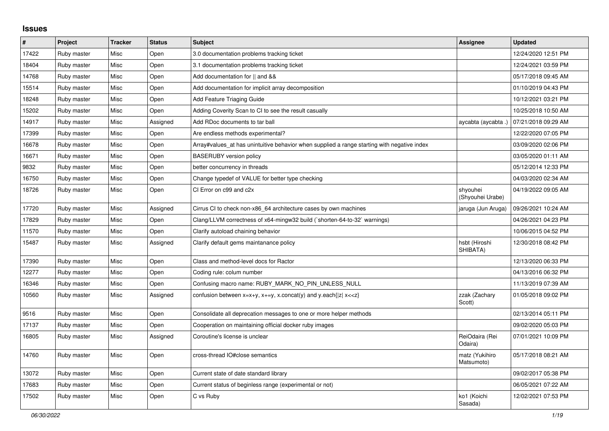## **Issues**

| $\#$  | Project     | <b>Tracker</b> | <b>Status</b> | <b>Subject</b>                                                                              | <b>Assignee</b>              | <b>Updated</b>      |
|-------|-------------|----------------|---------------|---------------------------------------------------------------------------------------------|------------------------------|---------------------|
| 17422 | Ruby master | Misc           | Open          | 3.0 documentation problems tracking ticket                                                  |                              | 12/24/2020 12:51 PM |
| 18404 | Ruby master | Misc           | Open          | 3.1 documentation problems tracking ticket                                                  |                              | 12/24/2021 03:59 PM |
| 14768 | Ruby master | Misc           | Open          | Add documentation for    and &&                                                             |                              | 05/17/2018 09:45 AM |
| 15514 | Ruby master | Misc           | Open          | Add documentation for implicit array decomposition                                          |                              | 01/10/2019 04:43 PM |
| 18248 | Ruby master | Misc           | Open          | Add Feature Triaging Guide                                                                  |                              | 10/12/2021 03:21 PM |
| 15202 | Ruby master | Misc           | Open          | Adding Coverity Scan to CI to see the result casually                                       |                              | 10/25/2018 10:50 AM |
| 14917 | Ruby master | Misc           | Assigned      | Add RDoc documents to tar ball                                                              | aycabta (aycabta .)          | 07/21/2018 09:29 AM |
| 17399 | Ruby master | Misc           | Open          | Are endless methods experimental?                                                           |                              | 12/22/2020 07:05 PM |
| 16678 | Ruby master | Misc           | Open          | Array#values_at has unintuitive behavior when supplied a range starting with negative index |                              | 03/09/2020 02:06 PM |
| 16671 | Ruby master | Misc           | Open          | <b>BASERUBY</b> version policy                                                              |                              | 03/05/2020 01:11 AM |
| 9832  | Ruby master | Misc           | Open          | better concurrency in threads                                                               |                              | 05/12/2014 12:33 PM |
| 16750 | Ruby master | Misc           | Open          | Change typedef of VALUE for better type checking                                            |                              | 04/03/2020 02:34 AM |
| 18726 | Ruby master | Misc           | Open          | CI Error on c99 and c2x                                                                     | shyouhei<br>(Shyouhei Urabe) | 04/19/2022 09:05 AM |
| 17720 | Ruby master | Misc           | Assigned      | Cirrus CI to check non-x86_64 architecture cases by own machines                            | jaruga (Jun Aruga)           | 09/26/2021 10:24 AM |
| 17829 | Ruby master | Misc           | Open          | Clang/LLVM correctness of x64-mingw32 build (`shorten-64-to-32` warnings)                   |                              | 04/26/2021 04:23 PM |
| 11570 | Ruby master | Misc           | Open          | Clarify autoload chaining behavior                                                          |                              | 10/06/2015 04:52 PM |
| 15487 | Ruby master | Misc           | Assigned      | Clarify default gems maintanance policy                                                     | hsbt (Hiroshi<br>SHIBATA)    | 12/30/2018 08:42 PM |
| 17390 | Ruby master | Misc           | Open          | Class and method-level docs for Ractor                                                      |                              | 12/13/2020 06:33 PM |
| 12277 | Ruby master | Misc           | Open          | Coding rule: colum number                                                                   |                              | 04/13/2016 06:32 PM |
| 16346 | Ruby master | Misc           | Open          | Confusing macro name: RUBY_MARK_NO_PIN_UNLESS_NULL                                          |                              | 11/13/2019 07:39 AM |
| 10560 | Ruby master | Misc           | Assigned      | confusion between $x=x+y$ , $x+=y$ , x.concat(y) and y.each{ z  $x<}$                       | zzak (Zachary<br>Scott)      | 01/05/2018 09:02 PM |
| 9516  | Ruby master | Misc           | Open          | Consolidate all deprecation messages to one or more helper methods                          |                              | 02/13/2014 05:11 PM |
| 17137 | Ruby master | Misc           | Open          | Cooperation on maintaining official docker ruby images                                      |                              | 09/02/2020 05:03 PM |
| 16805 | Ruby master | Misc           | Assigned      | Coroutine's license is unclear                                                              | ReiOdaira (Rei<br>Odaira)    | 07/01/2021 10:09 PM |
| 14760 | Ruby master | Misc           | Open          | cross-thread IO#close semantics                                                             | matz (Yukihiro<br>Matsumoto) | 05/17/2018 08:21 AM |
| 13072 | Ruby master | Misc           | Open          | Current state of date standard library                                                      |                              | 09/02/2017 05:38 PM |
| 17683 | Ruby master | Misc           | Open          | Current status of beginless range (experimental or not)                                     |                              | 06/05/2021 07:22 AM |
| 17502 | Ruby master | Misc           | Open          | C vs Ruby                                                                                   | ko1 (Koichi<br>Sasada)       | 12/02/2021 07:53 PM |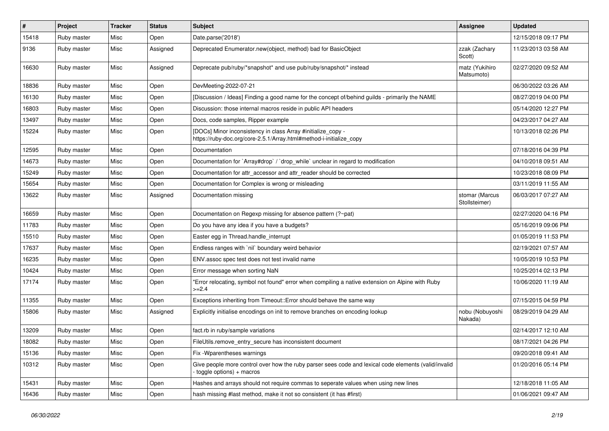| #     | Project     | <b>Tracker</b> | <b>Status</b> | <b>Subject</b>                                                                                                                      | <b>Assignee</b>                 | <b>Updated</b>      |
|-------|-------------|----------------|---------------|-------------------------------------------------------------------------------------------------------------------------------------|---------------------------------|---------------------|
| 15418 | Ruby master | Misc           | Open          | Date.parse('2018')                                                                                                                  |                                 | 12/15/2018 09:17 PM |
| 9136  | Ruby master | Misc           | Assigned      | Deprecated Enumerator.new(object, method) bad for BasicObject                                                                       | zzak (Zachary<br>Scott)         | 11/23/2013 03:58 AM |
| 16630 | Ruby master | Misc           | Assigned      | Deprecate pub/ruby/*snapshot* and use pub/ruby/snapshot/* instead                                                                   | matz (Yukihiro<br>Matsumoto)    | 02/27/2020 09:52 AM |
| 18836 | Ruby master | Misc           | Open          | DevMeeting-2022-07-21                                                                                                               |                                 | 06/30/2022 03:26 AM |
| 16130 | Ruby master | Misc           | Open          | [Discussion / Ideas] Finding a good name for the concept of/behind guilds - primarily the NAME                                      |                                 | 08/27/2019 04:00 PM |
| 16803 | Ruby master | Misc           | Open          | Discussion: those internal macros reside in public API headers                                                                      |                                 | 05/14/2020 12:27 PM |
| 13497 | Ruby master | Misc           | Open          | Docs, code samples, Ripper example                                                                                                  |                                 | 04/23/2017 04:27 AM |
| 15224 | Ruby master | Misc           | Open          | [DOCs] Minor inconsistency in class Array #initialize_copy -<br>https://ruby-doc.org/core-2.5.1/Array.html#method-i-initialize_copy |                                 | 10/13/2018 02:26 PM |
| 12595 | Ruby master | Misc           | Open          | Documentation                                                                                                                       |                                 | 07/18/2016 04:39 PM |
| 14673 | Ruby master | Misc           | Open          | Documentation for `Array#drop` / `drop_while` unclear in regard to modification                                                     |                                 | 04/10/2018 09:51 AM |
| 15249 | Ruby master | Misc           | Open          | Documentation for attr accessor and attr reader should be corrected                                                                 |                                 | 10/23/2018 08:09 PM |
| 15654 | Ruby master | Misc           | Open          | Documentation for Complex is wrong or misleading                                                                                    |                                 | 03/11/2019 11:55 AM |
| 13622 | Ruby master | Misc           | Assigned      | Documentation missing                                                                                                               | stomar (Marcus<br>Stollsteimer) | 06/03/2017 07:27 AM |
| 16659 | Ruby master | Misc           | Open          | Documentation on Regexp missing for absence pattern (?~pat)                                                                         |                                 | 02/27/2020 04:16 PM |
| 11783 | Ruby master | Misc           | Open          | Do you have any idea if you have a budgets?                                                                                         |                                 | 05/16/2019 09:06 PM |
| 15510 | Ruby master | Misc           | Open          | Easter egg in Thread.handle_interrupt                                                                                               |                                 | 01/05/2019 11:53 PM |
| 17637 | Ruby master | Misc           | Open          | Endless ranges with 'nil' boundary weird behavior                                                                                   |                                 | 02/19/2021 07:57 AM |
| 16235 | Ruby master | Misc           | Open          | ENV assoc spec test does not test invalid name                                                                                      |                                 | 10/05/2019 10:53 PM |
| 10424 | Ruby master | Misc           | Open          | Error message when sorting NaN                                                                                                      |                                 | 10/25/2014 02:13 PM |
| 17174 | Ruby master | Misc           | Open          | 'Error relocating, symbol not found" error when compiling a native extension on Alpine with Ruby<br>$>=2.4$                         |                                 | 10/06/2020 11:19 AM |
| 11355 | Ruby master | Misc           | Open          | Exceptions inheriting from Timeout:: Error should behave the same way                                                               |                                 | 07/15/2015 04:59 PM |
| 15806 | Ruby master | Misc           | Assigned      | Explicitly initialise encodings on init to remove branches on encoding lookup                                                       | nobu (Nobuyoshi<br>Nakada)      | 08/29/2019 04:29 AM |
| 13209 | Ruby master | Misc           | Open          | fact.rb in ruby/sample variations                                                                                                   |                                 | 02/14/2017 12:10 AM |
| 18082 | Ruby master | Misc           | Open          | FileUtils.remove_entry_secure has inconsistent document                                                                             |                                 | 08/17/2021 04:26 PM |
| 15136 | Ruby master | Misc           | Open          | Fix - Wparentheses warnings                                                                                                         |                                 | 09/20/2018 09:41 AM |
| 10312 | Ruby master | Misc           | Open          | Give people more control over how the ruby parser sees code and lexical code elements (valid/invalid<br>toggle options) + macros    |                                 | 01/20/2016 05:14 PM |
| 15431 | Ruby master | Misc           | Open          | Hashes and arrays should not require commas to seperate values when using new lines                                                 |                                 | 12/18/2018 11:05 AM |
| 16436 | Ruby master | Misc           | Open          | hash missing #last method, make it not so consistent (it has #first)                                                                |                                 | 01/06/2021 09:47 AM |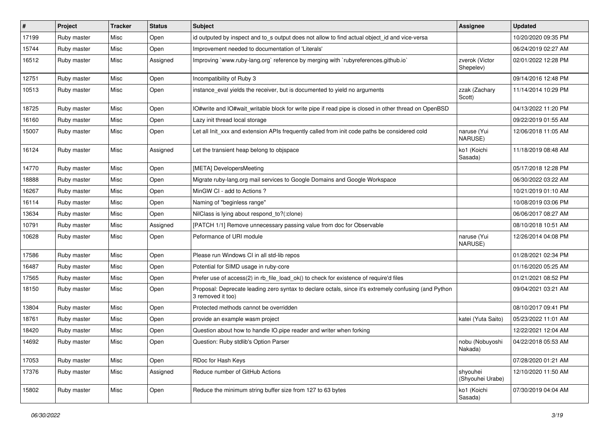| #     | Project     | <b>Tracker</b> | <b>Status</b> | <b>Subject</b>                                                                                                             | <b>Assignee</b>              | <b>Updated</b>      |
|-------|-------------|----------------|---------------|----------------------------------------------------------------------------------------------------------------------------|------------------------------|---------------------|
| 17199 | Ruby master | Misc           | Open          | id outputed by inspect and to_s output does not allow to find actual object_id and vice-versa                              |                              | 10/20/2020 09:35 PM |
| 15744 | Ruby master | Misc           | Open          | Improvement needed to documentation of 'Literals'                                                                          |                              | 06/24/2019 02:27 AM |
| 16512 | Ruby master | Misc           | Assigned      | Improving `www.ruby-lang.org` reference by merging with `rubyreferences.github.io`                                         | zverok (Victor<br>Shepelev)  | 02/01/2022 12:28 PM |
| 12751 | Ruby master | Misc           | Open          | Incompatibility of Ruby 3                                                                                                  |                              | 09/14/2016 12:48 PM |
| 10513 | Ruby master | Misc           | Open          | instance_eval yields the receiver, but is documented to yield no arguments                                                 | zzak (Zachary<br>Scott)      | 11/14/2014 10:29 PM |
| 18725 | Ruby master | Misc           | Open          | IO#write and IO#wait_writable block for write pipe if read pipe is closed in other thread on OpenBSD                       |                              | 04/13/2022 11:20 PM |
| 16160 | Ruby master | Misc           | Open          | Lazy init thread local storage                                                                                             |                              | 09/22/2019 01:55 AM |
| 15007 | Ruby master | Misc           | Open          | Let all Init_xxx and extension APIs frequently called from init code paths be considered cold                              | naruse (Yui<br>NARUSE)       | 12/06/2018 11:05 AM |
| 16124 | Ruby master | Misc           | Assigned      | Let the transient heap belong to objspace                                                                                  | ko1 (Koichi<br>Sasada)       | 11/18/2019 08:48 AM |
| 14770 | Ruby master | Misc           | Open          | [META] DevelopersMeeting                                                                                                   |                              | 05/17/2018 12:28 PM |
| 18888 | Ruby master | Misc           | Open          | Migrate ruby-lang.org mail services to Google Domains and Google Workspace                                                 |                              | 06/30/2022 03:22 AM |
| 16267 | Ruby master | Misc           | Open          | MinGW CI - add to Actions ?                                                                                                |                              | 10/21/2019 01:10 AM |
| 16114 | Ruby master | Misc           | Open          | Naming of "beginless range"                                                                                                |                              | 10/08/2019 03:06 PM |
| 13634 | Ruby master | Misc           | Open          | NilClass is lying about respond_to?(:clone)                                                                                |                              | 06/06/2017 08:27 AM |
| 10791 | Ruby master | Misc           | Assigned      | [PATCH 1/1] Remove unnecessary passing value from doc for Observable                                                       |                              | 08/10/2018 10:51 AM |
| 10628 | Ruby master | Misc           | Open          | Peformance of URI module                                                                                                   | naruse (Yui<br>NARUSE)       | 12/26/2014 04:08 PM |
| 17586 | Ruby master | Misc           | Open          | Please run Windows CI in all std-lib repos                                                                                 |                              | 01/28/2021 02:34 PM |
| 16487 | Ruby master | Misc           | Open          | Potential for SIMD usage in ruby-core                                                                                      |                              | 01/16/2020 05:25 AM |
| 17565 | Ruby master | Misc           | Open          | Prefer use of access(2) in rb_file_load_ok() to check for existence of require'd files                                     |                              | 01/21/2021 08:52 PM |
| 18150 | Ruby master | Misc           | Open          | Proposal: Deprecate leading zero syntax to declare octals, since it's extremely confusing (and Python<br>3 removed it too) |                              | 09/04/2021 03:21 AM |
| 13804 | Ruby master | Misc           | Open          | Protected methods cannot be overridden                                                                                     |                              | 08/10/2017 09:41 PM |
| 18761 | Ruby master | Misc           | Open          | provide an example wasm project                                                                                            | katei (Yuta Saito)           | 05/23/2022 11:01 AM |
| 18420 | Ruby master | Misc           | Open          | Question about how to handle IO.pipe reader and writer when forking                                                        |                              | 12/22/2021 12:04 AM |
| 14692 | Ruby master | Misc           | Open          | Question: Ruby stdlib's Option Parser                                                                                      | nobu (Nobuyoshi<br>Nakada)   | 04/22/2018 05:53 AM |
| 17053 | Ruby master | Misc           | Open          | RDoc for Hash Keys                                                                                                         |                              | 07/28/2020 01:21 AM |
| 17376 | Ruby master | Misc           | Assigned      | Reduce number of GitHub Actions                                                                                            | shyouhei<br>(Shyouhei Urabe) | 12/10/2020 11:50 AM |
| 15802 | Ruby master | Misc           | Open          | Reduce the minimum string buffer size from 127 to 63 bytes                                                                 | ko1 (Koichi<br>Sasada)       | 07/30/2019 04:04 AM |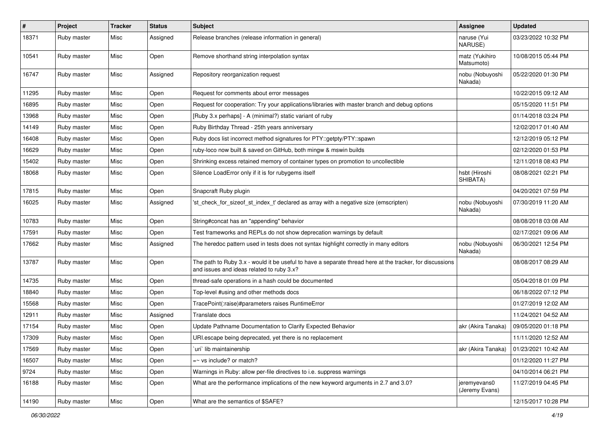| $\sharp$ | Project     | <b>Tracker</b> | <b>Status</b> | <b>Subject</b>                                                                                                                                        | <b>Assignee</b>                | <b>Updated</b>      |
|----------|-------------|----------------|---------------|-------------------------------------------------------------------------------------------------------------------------------------------------------|--------------------------------|---------------------|
| 18371    | Ruby master | Misc           | Assigned      | Release branches (release information in general)                                                                                                     | naruse (Yui<br>NARUSE)         | 03/23/2022 10:32 PM |
| 10541    | Ruby master | Misc           | Open          | Remove shorthand string interpolation syntax                                                                                                          | matz (Yukihiro<br>Matsumoto)   | 10/08/2015 05:44 PM |
| 16747    | Ruby master | Misc           | Assigned      | Repository reorganization request                                                                                                                     | nobu (Nobuyoshi<br>Nakada)     | 05/22/2020 01:30 PM |
| 11295    | Ruby master | Misc           | Open          | Request for comments about error messages                                                                                                             |                                | 10/22/2015 09:12 AM |
| 16895    | Ruby master | Misc           | Open          | Request for cooperation: Try your applications/libraries with master branch and debug options                                                         |                                | 05/15/2020 11:51 PM |
| 13968    | Ruby master | Misc           | Open          | [Ruby 3.x perhaps] - A (minimal?) static variant of ruby                                                                                              |                                | 01/14/2018 03:24 PM |
| 14149    | Ruby master | Misc           | Open          | Ruby Birthday Thread - 25th years anniversary                                                                                                         |                                | 12/02/2017 01:40 AM |
| 16408    | Ruby master | Misc           | Open          | Ruby docs list incorrect method signatures for PTY::getpty/PTY::spawn                                                                                 |                                | 12/12/2019 05:12 PM |
| 16629    | Ruby master | Misc           | Open          | ruby-loco now built & saved on GitHub, both mingw & mswin builds                                                                                      |                                | 02/12/2020 01:53 PM |
| 15402    | Ruby master | Misc           | Open          | Shrinking excess retained memory of container types on promotion to uncollectible                                                                     |                                | 12/11/2018 08:43 PM |
| 18068    | Ruby master | Misc           | Open          | Silence LoadError only if it is for rubygems itself                                                                                                   | hsbt (Hiroshi<br>SHIBATA)      | 08/08/2021 02:21 PM |
| 17815    | Ruby master | Misc           | Open          | Snapcraft Ruby plugin                                                                                                                                 |                                | 04/20/2021 07:59 PM |
| 16025    | Ruby master | Misc           | Assigned      | 'st check for sizeof st index t' declared as array with a negative size (emscripten)                                                                  | nobu (Nobuyoshi<br>Nakada)     | 07/30/2019 11:20 AM |
| 10783    | Ruby master | Misc           | Open          | String#concat has an "appending" behavior                                                                                                             |                                | 08/08/2018 03:08 AM |
| 17591    | Ruby master | Misc           | Open          | Test frameworks and REPLs do not show deprecation warnings by default                                                                                 |                                | 02/17/2021 09:06 AM |
| 17662    | Ruby master | Misc           | Assigned      | The heredoc pattern used in tests does not syntax highlight correctly in many editors                                                                 | nobu (Nobuyoshi<br>Nakada)     | 06/30/2021 12:54 PM |
| 13787    | Ruby master | Misc           | Open          | The path to Ruby 3.x - would it be useful to have a separate thread here at the tracker, for discussions<br>and issues and ideas related to ruby 3.x? |                                | 08/08/2017 08:29 AM |
| 14735    | Ruby master | Misc           | Open          | thread-safe operations in a hash could be documented                                                                                                  |                                | 05/04/2018 01:09 PM |
| 18840    | Ruby master | Misc           | Open          | Top-level #using and other methods docs                                                                                                               |                                | 06/18/2022 07:12 PM |
| 15568    | Ruby master | Misc           | Open          | TracePoint(:raise)#parameters raises RuntimeError                                                                                                     |                                | 01/27/2019 12:02 AM |
| 12911    | Ruby master | Misc           | Assigned      | Translate docs                                                                                                                                        |                                | 11/24/2021 04:52 AM |
| 17154    | Ruby master | Misc           | Open          | Update Pathname Documentation to Clarify Expected Behavior                                                                                            | akr (Akira Tanaka)             | 09/05/2020 01:18 PM |
| 17309    | Ruby master | Misc           | Open          | URI escape being deprecated, yet there is no replacement                                                                                              |                                | 11/11/2020 12:52 AM |
| 17569    | Ruby master | Misc           | Open          | uri lib maintainership                                                                                                                                | akr (Akira Tanaka)             | 01/23/2021 10:42 AM |
| 16507    | Ruby master | Misc           | Open          | $=\sim$ vs include? or match?                                                                                                                         |                                | 01/12/2020 11:27 PM |
| 9724     | Ruby master | Misc           | Open          | Warnings in Ruby: allow per-file directives to i.e. suppress warnings                                                                                 |                                | 04/10/2014 06:21 PM |
| 16188    | Ruby master | Misc           | Open          | What are the performance implications of the new keyword arguments in 2.7 and 3.0?                                                                    | jeremyevans0<br>(Jeremy Evans) | 11/27/2019 04:45 PM |
| 14190    | Ruby master | Misc           | Open          | What are the semantics of \$SAFE?                                                                                                                     |                                | 12/15/2017 10:28 PM |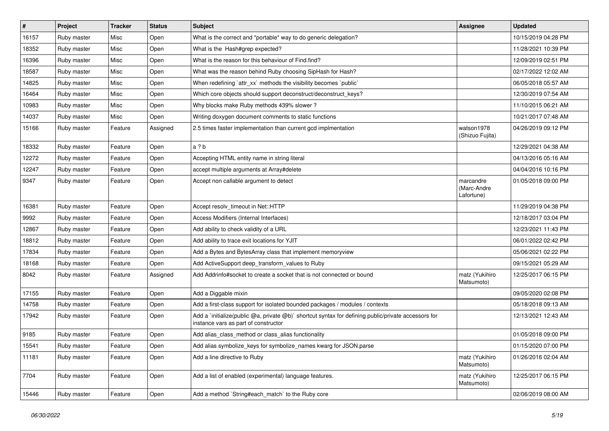| $\vert$ # | Project     | <b>Tracker</b> | <b>Status</b> | Subject                                                                                                                                     | <b>Assignee</b>                        | <b>Updated</b>      |
|-----------|-------------|----------------|---------------|---------------------------------------------------------------------------------------------------------------------------------------------|----------------------------------------|---------------------|
| 16157     | Ruby master | Misc           | Open          | What is the correct and *portable* way to do generic delegation?                                                                            |                                        | 10/15/2019 04:28 PM |
| 18352     | Ruby master | Misc           | Open          | What is the Hash#grep expected?                                                                                                             |                                        | 11/28/2021 10:39 PM |
| 16396     | Ruby master | Misc           | Open          | What is the reason for this behaviour of Find.find?                                                                                         |                                        | 12/09/2019 02:51 PM |
| 18587     | Ruby master | Misc           | Open          | What was the reason behind Ruby choosing SipHash for Hash?                                                                                  |                                        | 02/17/2022 12:02 AM |
| 14825     | Ruby master | Misc           | Open          | When redefining 'attr_xx' methods the visibility becomes 'public'                                                                           |                                        | 06/05/2018 05:57 AM |
| 16464     | Ruby master | Misc           | Open          | Which core objects should support deconstruct/deconstruct_keys?                                                                             |                                        | 12/30/2019 07:54 AM |
| 10983     | Ruby master | Misc           | Open          | Why blocks make Ruby methods 439% slower?                                                                                                   |                                        | 11/10/2015 06:21 AM |
| 14037     | Ruby master | Misc           | Open          | Writing doxygen document comments to static functions                                                                                       |                                        | 10/21/2017 07:48 AM |
| 15166     | Ruby master | Feature        | Assigned      | 2.5 times faster implementation than current gcd implmentation                                                                              | watson1978<br>(Shizuo Fujita)          | 04/26/2019 09:12 PM |
| 18332     | Ruby master | Feature        | Open          | a ? b                                                                                                                                       |                                        | 12/29/2021 04:38 AM |
| 12272     | Ruby master | Feature        | Open          | Accepting HTML entity name in string literal                                                                                                |                                        | 04/13/2016 05:16 AM |
| 12247     | Ruby master | Feature        | Open          | accept multiple arguments at Array#delete                                                                                                   |                                        | 04/04/2016 10:16 PM |
| 9347      | Ruby master | Feature        | Open          | Accept non callable argument to detect                                                                                                      | marcandre<br>(Marc-Andre<br>Lafortune) | 01/05/2018 09:00 PM |
| 16381     | Ruby master | Feature        | Open          | Accept resolv_timeout in Net::HTTP                                                                                                          |                                        | 11/29/2019 04:38 PM |
| 9992      | Ruby master | Feature        | Open          | Access Modifiers (Internal Interfaces)                                                                                                      |                                        | 12/18/2017 03:04 PM |
| 12867     | Ruby master | Feature        | Open          | Add ability to check validity of a URL                                                                                                      |                                        | 12/23/2021 11:43 PM |
| 18812     | Ruby master | Feature        | Open          | Add ability to trace exit locations for YJIT                                                                                                |                                        | 06/01/2022 02:42 PM |
| 17834     | Ruby master | Feature        | Open          | Add a Bytes and BytesArray class that implement memoryview                                                                                  |                                        | 05/06/2021 02:22 PM |
| 18168     | Ruby master | Feature        | Open          | Add ActiveSupport deep_transform_values to Ruby                                                                                             |                                        | 09/15/2021 05:29 AM |
| 8042      | Ruby master | Feature        | Assigned      | Add Addrinfo#socket to create a socket that is not connected or bound                                                                       | matz (Yukihiro<br>Matsumoto)           | 12/25/2017 06:15 PM |
| 17155     | Ruby master | Feature        | Open          | Add a Diggable mixin                                                                                                                        |                                        | 09/05/2020 02:08 PM |
| 14758     | Ruby master | Feature        | Open          | Add a first-class support for isolated bounded packages / modules / contexts                                                                |                                        | 05/18/2018 09:13 AM |
| 17942     | Ruby master | Feature        | Open          | Add a `initialize(public @a, private @b)` shortcut syntax for defining public/private accessors for<br>instance vars as part of constructor |                                        | 12/13/2021 12:43 AM |
| 9185      | Ruby master | Feature        | Open          | Add alias_class_method or class_alias functionality                                                                                         |                                        | 01/05/2018 09:00 PM |
| 15541     | Ruby master | Feature        | Open          | Add alias symbolize_keys for symbolize_names kwarg for JSON.parse                                                                           |                                        | 01/15/2020 07:00 PM |
| 11181     | Ruby master | Feature        | Open          | Add a line directive to Ruby                                                                                                                | matz (Yukihiro<br>Matsumoto)           | 01/26/2016 02:04 AM |
| 7704      | Ruby master | Feature        | Open          | Add a list of enabled (experimental) language features.                                                                                     | matz (Yukihiro<br>Matsumoto)           | 12/25/2017 06:15 PM |
| 15446     | Ruby master | Feature        | Open          | Add a method `String#each_match` to the Ruby core                                                                                           |                                        | 02/06/2019 08:00 AM |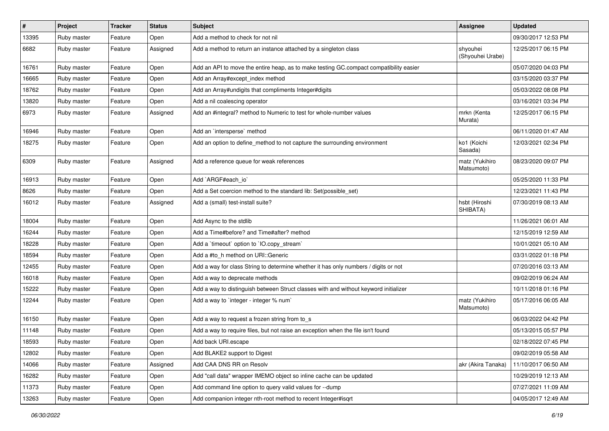| $\vert$ # | Project     | <b>Tracker</b> | <b>Status</b> | Subject                                                                                | <b>Assignee</b>              | <b>Updated</b>      |
|-----------|-------------|----------------|---------------|----------------------------------------------------------------------------------------|------------------------------|---------------------|
| 13395     | Ruby master | Feature        | Open          | Add a method to check for not nil                                                      |                              | 09/30/2017 12:53 PM |
| 6682      | Ruby master | Feature        | Assigned      | Add a method to return an instance attached by a singleton class                       | shyouhei<br>(Shyouhei Urabe) | 12/25/2017 06:15 PM |
| 16761     | Ruby master | Feature        | Open          | Add an API to move the entire heap, as to make testing GC.compact compatibility easier |                              | 05/07/2020 04:03 PM |
| 16665     | Ruby master | Feature        | Open          | Add an Array#except_index method                                                       |                              | 03/15/2020 03:37 PM |
| 18762     | Ruby master | Feature        | Open          | Add an Array#undigits that compliments Integer#digits                                  |                              | 05/03/2022 08:08 PM |
| 13820     | Ruby master | Feature        | Open          | Add a nil coalescing operator                                                          |                              | 03/16/2021 03:34 PM |
| 6973      | Ruby master | Feature        | Assigned      | Add an #integral? method to Numeric to test for whole-number values                    | mrkn (Kenta<br>Murata)       | 12/25/2017 06:15 PM |
| 16946     | Ruby master | Feature        | Open          | Add an `intersperse` method                                                            |                              | 06/11/2020 01:47 AM |
| 18275     | Ruby master | Feature        | Open          | Add an option to define_method to not capture the surrounding environment              | ko1 (Koichi<br>Sasada)       | 12/03/2021 02:34 PM |
| 6309      | Ruby master | Feature        | Assigned      | Add a reference queue for weak references                                              | matz (Yukihiro<br>Matsumoto) | 08/23/2020 09:07 PM |
| 16913     | Ruby master | Feature        | Open          | Add `ARGF#each_io`                                                                     |                              | 05/25/2020 11:33 PM |
| 8626      | Ruby master | Feature        | Open          | Add a Set coercion method to the standard lib: Set(possible_set)                       |                              | 12/23/2021 11:43 PM |
| 16012     | Ruby master | Feature        | Assigned      | Add a (small) test-install suite?                                                      | hsbt (Hiroshi<br>SHIBATA)    | 07/30/2019 08:13 AM |
| 18004     | Ruby master | Feature        | Open          | Add Async to the stdlib                                                                |                              | 11/26/2021 06:01 AM |
| 16244     | Ruby master | Feature        | Open          | Add a Time#before? and Time#after? method                                              |                              | 12/15/2019 12:59 AM |
| 18228     | Ruby master | Feature        | Open          | Add a 'timeout' option to 'IO.copy_stream'                                             |                              | 10/01/2021 05:10 AM |
| 18594     | Ruby master | Feature        | Open          | Add a #to_h method on URI::Generic                                                     |                              | 03/31/2022 01:18 PM |
| 12455     | Ruby master | Feature        | Open          | Add a way for class String to determine whether it has only numbers / digits or not    |                              | 07/20/2016 03:13 AM |
| 16018     | Ruby master | Feature        | Open          | Add a way to deprecate methods                                                         |                              | 09/02/2019 06:24 AM |
| 15222     | Ruby master | Feature        | Open          | Add a way to distinguish between Struct classes with and without keyword initializer   |                              | 10/11/2018 01:16 PM |
| 12244     | Ruby master | Feature        | Open          | Add a way to 'integer - integer % num'                                                 | matz (Yukihiro<br>Matsumoto) | 05/17/2016 06:05 AM |
| 16150     | Ruby master | Feature        | Open          | Add a way to request a frozen string from to_s                                         |                              | 06/03/2022 04:42 PM |
| 11148     | Ruby master | Feature        | Open          | Add a way to require files, but not raise an exception when the file isn't found       |                              | 05/13/2015 05:57 PM |
| 18593     | Ruby master | Feature        | Open          | Add back URI.escape                                                                    |                              | 02/18/2022 07:45 PM |
| 12802     | Ruby master | Feature        | Open          | Add BLAKE2 support to Digest                                                           |                              | 09/02/2019 05:58 AM |
| 14066     | Ruby master | Feature        | Assigned      | Add CAA DNS RR on Resolv                                                               | akr (Akira Tanaka)           | 11/10/2017 06:50 AM |
| 16282     | Ruby master | Feature        | Open          | Add "call data" wrapper IMEMO object so inline cache can be updated                    |                              | 10/29/2019 12:13 AM |
| 11373     | Ruby master | Feature        | Open          | Add command line option to query valid values for --dump                               |                              | 07/27/2021 11:09 AM |
| 13263     | Ruby master | Feature        | Open          | Add companion integer nth-root method to recent Integer#isqrt                          |                              | 04/05/2017 12:49 AM |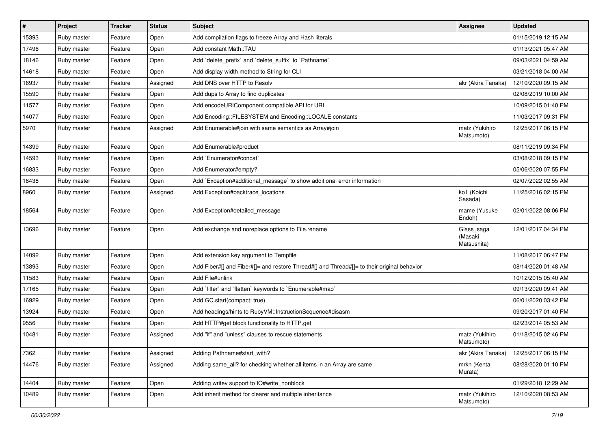| $\sharp$ | Project     | Tracker | <b>Status</b> | <b>Subject</b>                                                                             | Assignee                             | <b>Updated</b>      |
|----------|-------------|---------|---------------|--------------------------------------------------------------------------------------------|--------------------------------------|---------------------|
| 15393    | Ruby master | Feature | Open          | Add compilation flags to freeze Array and Hash literals                                    |                                      | 01/15/2019 12:15 AM |
| 17496    | Ruby master | Feature | Open          | Add constant Math::TAU                                                                     |                                      | 01/13/2021 05:47 AM |
| 18146    | Ruby master | Feature | Open          | Add 'delete prefix' and 'delete suffix' to 'Pathname'                                      |                                      | 09/03/2021 04:59 AM |
| 14618    | Ruby master | Feature | Open          | Add display width method to String for CLI                                                 |                                      | 03/21/2018 04:00 AM |
| 16937    | Ruby master | Feature | Assigned      | Add DNS over HTTP to Resolv                                                                | akr (Akira Tanaka)                   | 12/10/2020 09:15 AM |
| 15590    | Ruby master | Feature | Open          | Add dups to Array to find duplicates                                                       |                                      | 02/08/2019 10:00 AM |
| 11577    | Ruby master | Feature | Open          | Add encodeURIComponent compatible API for URI                                              |                                      | 10/09/2015 01:40 PM |
| 14077    | Ruby master | Feature | Open          | Add Encoding::FILESYSTEM and Encoding::LOCALE constants                                    |                                      | 11/03/2017 09:31 PM |
| 5970     | Ruby master | Feature | Assigned      | Add Enumerable#join with same semantics as Array#join                                      | matz (Yukihiro<br>Matsumoto)         | 12/25/2017 06:15 PM |
| 14399    | Ruby master | Feature | Open          | Add Enumerable#product                                                                     |                                      | 08/11/2019 09:34 PM |
| 14593    | Ruby master | Feature | Open          | Add `Enumerator#concat`                                                                    |                                      | 03/08/2018 09:15 PM |
| 16833    | Ruby master | Feature | Open          | Add Enumerator#empty?                                                                      |                                      | 05/06/2020 07:55 PM |
| 18438    | Ruby master | Feature | Open          | Add `Exception#additional_message` to show additional error information                    |                                      | 02/07/2022 02:55 AM |
| 8960     | Ruby master | Feature | Assigned      | Add Exception#backtrace locations                                                          | ko1 (Koichi<br>Sasada)               | 11/25/2016 02:15 PM |
| 18564    | Ruby master | Feature | Open          | Add Exception#detailed_message                                                             | mame (Yusuke<br>Endoh)               | 02/01/2022 08:06 PM |
| 13696    | Ruby master | Feature | Open          | Add exchange and noreplace options to File.rename                                          | Glass_saga<br>(Masaki<br>Matsushita) | 12/01/2017 04:34 PM |
| 14092    | Ruby master | Feature | Open          | Add extension key argument to Tempfile                                                     |                                      | 11/08/2017 06:47 PM |
| 13893    | Ruby master | Feature | Open          | Add Fiber#[] and Fiber#[]= and restore Thread#[] and Thread#[]= to their original behavior |                                      | 08/14/2020 01:48 AM |
| 11583    | Ruby master | Feature | Open          | Add File#unlink                                                                            |                                      | 10/12/2015 05:40 AM |
| 17165    | Ruby master | Feature | Open          | Add 'filter' and 'flatten' keywords to 'Enumerable#map'                                    |                                      | 09/13/2020 09:41 AM |
| 16929    | Ruby master | Feature | Open          | Add GC.start(compact: true)                                                                |                                      | 06/01/2020 03:42 PM |
| 13924    | Ruby master | Feature | Open          | Add headings/hints to RubyVM::InstructionSequence#disasm                                   |                                      | 09/20/2017 01:40 PM |
| 9556     | Ruby master | Feature | Open          | Add HTTP#get block functionality to HTTP.get                                               |                                      | 02/23/2014 05:53 AM |
| 10481    | Ruby master | Feature | Assigned      | Add "if" and "unless" clauses to rescue statements                                         | matz (Yukihiro<br>Matsumoto)         | 01/18/2015 02:46 PM |
| 7362     | Ruby master | Feature | Assigned      | Adding Pathname#start_with?                                                                | akr (Akira Tanaka)                   | 12/25/2017 06:15 PM |
| 14476    | Ruby master | Feature | Assigned      | Adding same_all? for checking whether all items in an Array are same                       | mrkn (Kenta<br>Murata)               | 08/28/2020 01:10 PM |
| 14404    | Ruby master | Feature | Open          | Adding writev support to IO#write_nonblock                                                 |                                      | 01/29/2018 12:29 AM |
| 10489    | Ruby master | Feature | Open          | Add inherit method for clearer and multiple inheritance                                    | matz (Yukihiro<br>Matsumoto)         | 12/10/2020 08:53 AM |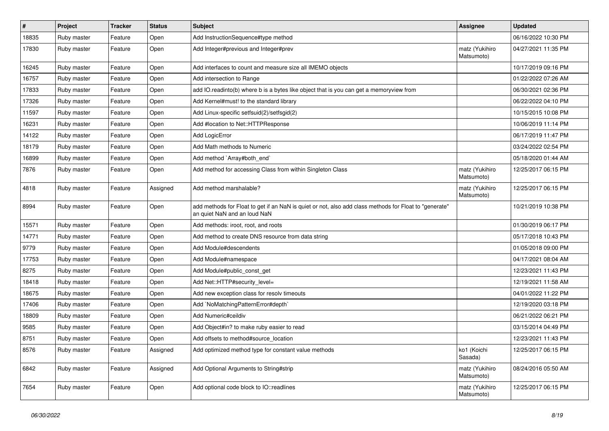| $\sharp$ | Project     | <b>Tracker</b> | <b>Status</b> | <b>Subject</b>                                                                                                                         | <b>Assignee</b>              | <b>Updated</b>      |
|----------|-------------|----------------|---------------|----------------------------------------------------------------------------------------------------------------------------------------|------------------------------|---------------------|
| 18835    | Ruby master | Feature        | Open          | Add InstructionSequence#type method                                                                                                    |                              | 06/16/2022 10:30 PM |
| 17830    | Ruby master | Feature        | Open          | Add Integer#previous and Integer#prev                                                                                                  | matz (Yukihiro<br>Matsumoto) | 04/27/2021 11:35 PM |
| 16245    | Ruby master | Feature        | Open          | Add interfaces to count and measure size all IMEMO objects                                                                             |                              | 10/17/2019 09:16 PM |
| 16757    | Ruby master | Feature        | Open          | Add intersection to Range                                                                                                              |                              | 01/22/2022 07:26 AM |
| 17833    | Ruby master | Feature        | Open          | add IO.readinto(b) where b is a bytes like object that is you can get a memoryview from                                                |                              | 06/30/2021 02:36 PM |
| 17326    | Ruby master | Feature        | Open          | Add Kernel#must! to the standard library                                                                                               |                              | 06/22/2022 04:10 PM |
| 11597    | Ruby master | Feature        | Open          | Add Linux-specific setfsuid(2)/setfsgid(2)                                                                                             |                              | 10/15/2015 10:08 PM |
| 16231    | Ruby master | Feature        | Open          | Add #location to Net::HTTPResponse                                                                                                     |                              | 10/06/2019 11:14 PM |
| 14122    | Ruby master | Feature        | Open          | Add LogicError                                                                                                                         |                              | 06/17/2019 11:47 PM |
| 18179    | Ruby master | Feature        | Open          | Add Math methods to Numeric                                                                                                            |                              | 03/24/2022 02:54 PM |
| 16899    | Ruby master | Feature        | Open          | Add method `Array#both end`                                                                                                            |                              | 05/18/2020 01:44 AM |
| 7876     | Ruby master | Feature        | Open          | Add method for accessing Class from within Singleton Class                                                                             | matz (Yukihiro<br>Matsumoto) | 12/25/2017 06:15 PM |
| 4818     | Ruby master | Feature        | Assigned      | Add method marshalable?                                                                                                                | matz (Yukihiro<br>Matsumoto) | 12/25/2017 06:15 PM |
| 8994     | Ruby master | Feature        | Open          | add methods for Float to get if an NaN is quiet or not, also add class methods for Float to "generate"<br>an quiet NaN and an loud NaN |                              | 10/21/2019 10:38 PM |
| 15571    | Ruby master | Feature        | Open          | Add methods: iroot, root, and roots                                                                                                    |                              | 01/30/2019 06:17 PM |
| 14771    | Ruby master | Feature        | Open          | Add method to create DNS resource from data string                                                                                     |                              | 05/17/2018 10:43 PM |
| 9779     | Ruby master | Feature        | Open          | Add Module#descendents                                                                                                                 |                              | 01/05/2018 09:00 PM |
| 17753    | Ruby master | Feature        | Open          | Add Module#namespace                                                                                                                   |                              | 04/17/2021 08:04 AM |
| 8275     | Ruby master | Feature        | Open          | Add Module#public_const_get                                                                                                            |                              | 12/23/2021 11:43 PM |
| 18418    | Ruby master | Feature        | Open          | Add Net::HTTP#security_level=                                                                                                          |                              | 12/19/2021 11:58 AM |
| 18675    | Ruby master | Feature        | Open          | Add new exception class for resolv timeouts                                                                                            |                              | 04/01/2022 11:22 PM |
| 17406    | Ruby master | Feature        | Open          | Add `NoMatchingPatternError#depth`                                                                                                     |                              | 12/19/2020 03:18 PM |
| 18809    | Ruby master | Feature        | Open          | Add Numeric#ceildiv                                                                                                                    |                              | 06/21/2022 06:21 PM |
| 9585     | Ruby master | Feature        | Open          | Add Object#in? to make ruby easier to read                                                                                             |                              | 03/15/2014 04:49 PM |
| 8751     | Ruby master | Feature        | Open          | Add offsets to method#source location                                                                                                  |                              | 12/23/2021 11:43 PM |
| 8576     | Ruby master | Feature        | Assigned      | Add optimized method type for constant value methods                                                                                   | ko1 (Koichi<br>Sasada)       | 12/25/2017 06:15 PM |
| 6842     | Ruby master | Feature        | Assigned      | Add Optional Arguments to String#strip                                                                                                 | matz (Yukihiro<br>Matsumoto) | 08/24/2016 05:50 AM |
| 7654     | Ruby master | Feature        | Open          | Add optional code block to IO::readlines                                                                                               | matz (Yukihiro<br>Matsumoto) | 12/25/2017 06:15 PM |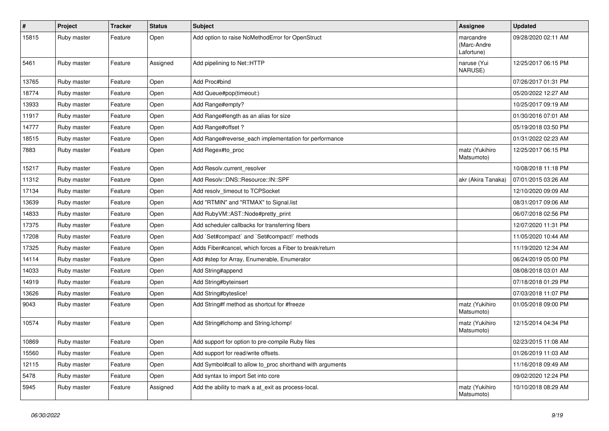| $\sharp$ | Project     | <b>Tracker</b> | <b>Status</b> | <b>Subject</b>                                            | Assignee                               | <b>Updated</b>      |
|----------|-------------|----------------|---------------|-----------------------------------------------------------|----------------------------------------|---------------------|
| 15815    | Ruby master | Feature        | Open          | Add option to raise NoMethodError for OpenStruct          | marcandre<br>(Marc-Andre<br>Lafortune) | 09/28/2020 02:11 AM |
| 5461     | Ruby master | Feature        | Assigned      | Add pipelining to Net::HTTP                               | naruse (Yui<br>NARUSE)                 | 12/25/2017 06:15 PM |
| 13765    | Ruby master | Feature        | Open          | Add Proc#bind                                             |                                        | 07/26/2017 01:31 PM |
| 18774    | Ruby master | Feature        | Open          | Add Queue#pop(timeout:)                                   |                                        | 05/20/2022 12:27 AM |
| 13933    | Ruby master | Feature        | Open          | Add Range#empty?                                          |                                        | 10/25/2017 09:19 AM |
| 11917    | Ruby master | Feature        | Open          | Add Range#length as an alias for size                     |                                        | 01/30/2016 07:01 AM |
| 14777    | Ruby master | Feature        | Open          | Add Range#offset?                                         |                                        | 05/19/2018 03:50 PM |
| 18515    | Ruby master | Feature        | Open          | Add Range#reverse_each implementation for performance     |                                        | 01/31/2022 02:23 AM |
| 7883     | Ruby master | Feature        | Open          | Add Regex#to_proc                                         | matz (Yukihiro<br>Matsumoto)           | 12/25/2017 06:15 PM |
| 15217    | Ruby master | Feature        | Open          | Add Resolv.current_resolver                               |                                        | 10/08/2018 11:18 PM |
| 11312    | Ruby master | Feature        | Open          | Add Resolv::DNS::Resource::IN::SPF                        | akr (Akira Tanaka)                     | 07/01/2015 03:26 AM |
| 17134    | Ruby master | Feature        | Open          | Add resolv_timeout to TCPSocket                           |                                        | 12/10/2020 09:09 AM |
| 13639    | Ruby master | Feature        | Open          | Add "RTMIN" and "RTMAX" to Signal.list                    |                                        | 08/31/2017 09:06 AM |
| 14833    | Ruby master | Feature        | Open          | Add RubyVM::AST::Node#pretty_print                        |                                        | 06/07/2018 02:56 PM |
| 17375    | Ruby master | Feature        | Open          | Add scheduler callbacks for transferring fibers           |                                        | 12/07/2020 11:31 PM |
| 17208    | Ruby master | Feature        | Open          | Add `Set#compact` and `Set#compact!` methods              |                                        | 11/05/2020 10:44 AM |
| 17325    | Ruby master | Feature        | Open          | Adds Fiber#cancel, which forces a Fiber to break/return   |                                        | 11/19/2020 12:34 AM |
| 14114    | Ruby master | Feature        | Open          | Add #step for Array, Enumerable, Enumerator               |                                        | 06/24/2019 05:00 PM |
| 14033    | Ruby master | Feature        | Open          | Add String#append                                         |                                        | 08/08/2018 03:01 AM |
| 14919    | Ruby master | Feature        | Open          | Add String#byteinsert                                     |                                        | 07/18/2018 01:29 PM |
| 13626    | Ruby master | Feature        | Open          | Add String#byteslice!                                     |                                        | 07/03/2018 11:07 PM |
| 9043     | Ruby master | Feature        | Open          | Add String#f method as shortcut for #freeze               | matz (Yukihiro<br>Matsumoto)           | 01/05/2018 09:00 PM |
| 10574    | Ruby master | Feature        | Open          | Add String#Ichomp and String.Ichomp!                      | matz (Yukihiro<br>Matsumoto)           | 12/15/2014 04:34 PM |
| 10869    | Ruby master | Feature        | Open          | Add support for option to pre-compile Ruby files          |                                        | 02/23/2015 11:08 AM |
| 15560    | Ruby master | Feature        | Open          | Add support for read/write offsets.                       |                                        | 01/26/2019 11:03 AM |
| 12115    | Ruby master | Feature        | Open          | Add Symbol#call to allow to_proc shorthand with arguments |                                        | 11/16/2018 09:49 AM |
| 5478     | Ruby master | Feature        | Open          | Add syntax to import Set into core                        |                                        | 09/02/2020 12:24 PM |
| 5945     | Ruby master | Feature        | Assigned      | Add the ability to mark a at_exit as process-local.       | matz (Yukihiro<br>Matsumoto)           | 10/10/2018 08:29 AM |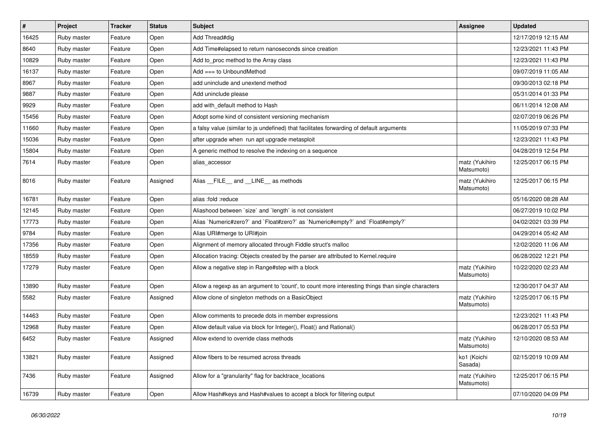| $\vert$ # | Project     | <b>Tracker</b> | <b>Status</b> | <b>Subject</b>                                                                                    | <b>Assignee</b>              | <b>Updated</b>      |
|-----------|-------------|----------------|---------------|---------------------------------------------------------------------------------------------------|------------------------------|---------------------|
| 16425     | Ruby master | Feature        | Open          | Add Thread#dig                                                                                    |                              | 12/17/2019 12:15 AM |
| 8640      | Ruby master | Feature        | Open          | Add Time#elapsed to return nanoseconds since creation                                             |                              | 12/23/2021 11:43 PM |
| 10829     | Ruby master | Feature        | Open          | Add to proc method to the Array class                                                             |                              | 12/23/2021 11:43 PM |
| 16137     | Ruby master | Feature        | Open          | Add $==$ to UnboundMethod                                                                         |                              | 09/07/2019 11:05 AM |
| 8967      | Ruby master | Feature        | Open          | add uninclude and unextend method                                                                 |                              | 09/30/2013 02:18 PM |
| 9887      | Ruby master | Feature        | Open          | Add uninclude please                                                                              |                              | 05/31/2014 01:33 PM |
| 9929      | Ruby master | Feature        | Open          | add with_default method to Hash                                                                   |                              | 06/11/2014 12:08 AM |
| 15456     | Ruby master | Feature        | Open          | Adopt some kind of consistent versioning mechanism                                                |                              | 02/07/2019 06:26 PM |
| 11660     | Ruby master | Feature        | Open          | a falsy value (similar to js undefined) that facilitates forwarding of default arguments          |                              | 11/05/2019 07:33 PM |
| 15036     | Ruby master | Feature        | Open          | after upgrade when run apt upgrade metasploit                                                     |                              | 12/23/2021 11:43 PM |
| 15804     | Ruby master | Feature        | Open          | A generic method to resolve the indexing on a sequence                                            |                              | 04/28/2019 12:54 PM |
| 7614      | Ruby master | Feature        | Open          | alias_accessor                                                                                    | matz (Yukihiro<br>Matsumoto) | 12/25/2017 06:15 PM |
| 8016      | Ruby master | Feature        | Assigned      | Alias _FILE_ and _LINE_ as methods                                                                | matz (Yukihiro<br>Matsumoto) | 12/25/2017 06:15 PM |
| 16781     | Ruby master | Feature        | Open          | alias :fold :reduce                                                                               |                              | 05/16/2020 08:28 AM |
| 12145     | Ruby master | Feature        | Open          | Aliashood between 'size' and 'length' is not consistent                                           |                              | 06/27/2019 10:02 PM |
| 17773     | Ruby master | Feature        | Open          | Alias `Numeric#zero?` and `Float#zero?` as `Numeric#empty?` and `Float#empty?`                    |                              | 04/02/2021 03:39 PM |
| 9784      | Ruby master | Feature        | Open          | Alias URI#merge to URI#join                                                                       |                              | 04/29/2014 05:42 AM |
| 17356     | Ruby master | Feature        | Open          | Alignment of memory allocated through Fiddle struct's malloc                                      |                              | 12/02/2020 11:06 AM |
| 18559     | Ruby master | Feature        | Open          | Allocation tracing: Objects created by the parser are attributed to Kernel.require                |                              | 06/28/2022 12:21 PM |
| 17279     | Ruby master | Feature        | Open          | Allow a negative step in Range#step with a block                                                  | matz (Yukihiro<br>Matsumoto) | 10/22/2020 02:23 AM |
| 13890     | Ruby master | Feature        | Open          | Allow a regexp as an argument to 'count', to count more interesting things than single characters |                              | 12/30/2017 04:37 AM |
| 5582      | Ruby master | Feature        | Assigned      | Allow clone of singleton methods on a BasicObject                                                 | matz (Yukihiro<br>Matsumoto) | 12/25/2017 06:15 PM |
| 14463     | Ruby master | Feature        | Open          | Allow comments to precede dots in member expressions                                              |                              | 12/23/2021 11:43 PM |
| 12968     | Ruby master | Feature        | Open          | Allow default value via block for Integer(), Float() and Rational()                               |                              | 06/28/2017 05:53 PM |
| 6452      | Ruby master | Feature        | Assigned      | Allow extend to override class methods                                                            | matz (Yukihiro<br>Matsumoto) | 12/10/2020 08:53 AM |
| 13821     | Ruby master | Feature        | Assigned      | Allow fibers to be resumed across threads                                                         | ko1 (Koichi<br>Sasada)       | 02/15/2019 10:09 AM |
| 7436      | Ruby master | Feature        | Assigned      | Allow for a "granularity" flag for backtrace_locations                                            | matz (Yukihiro<br>Matsumoto) | 12/25/2017 06:15 PM |
| 16739     | Ruby master | Feature        | Open          | Allow Hash#keys and Hash#values to accept a block for filtering output                            |                              | 07/10/2020 04:09 PM |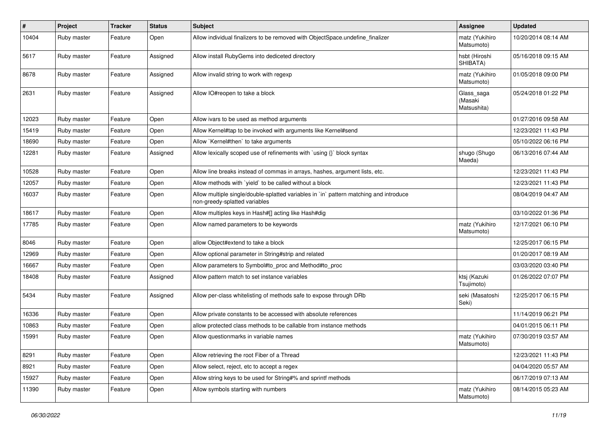| $\pmb{\#}$ | Project     | <b>Tracker</b> | <b>Status</b> | Subject                                                                                                                 | <b>Assignee</b>                      | <b>Updated</b>      |
|------------|-------------|----------------|---------------|-------------------------------------------------------------------------------------------------------------------------|--------------------------------------|---------------------|
| 10404      | Ruby master | Feature        | Open          | Allow individual finalizers to be removed with ObjectSpace.undefine_finalizer                                           | matz (Yukihiro<br>Matsumoto)         | 10/20/2014 08:14 AM |
| 5617       | Ruby master | Feature        | Assigned      | Allow install RubyGems into dediceted directory                                                                         | hsbt (Hiroshi<br>SHIBATA)            | 05/16/2018 09:15 AM |
| 8678       | Ruby master | Feature        | Assigned      | Allow invalid string to work with regexp                                                                                | matz (Yukihiro<br>Matsumoto)         | 01/05/2018 09:00 PM |
| 2631       | Ruby master | Feature        | Assigned      | Allow IO#reopen to take a block                                                                                         | Glass_saga<br>(Masaki<br>Matsushita) | 05/24/2018 01:22 PM |
| 12023      | Ruby master | Feature        | Open          | Allow ivars to be used as method arguments                                                                              |                                      | 01/27/2016 09:58 AM |
| 15419      | Ruby master | Feature        | Open          | Allow Kernel#tap to be invoked with arguments like Kernel#send                                                          |                                      | 12/23/2021 11:43 PM |
| 18690      | Ruby master | Feature        | Open          | Allow `Kernel#then` to take arguments                                                                                   |                                      | 05/10/2022 06:16 PM |
| 12281      | Ruby master | Feature        | Assigned      | Allow lexically scoped use of refinements with `using {}` block syntax                                                  | shugo (Shugo<br>Maeda)               | 06/13/2016 07:44 AM |
| 10528      | Ruby master | Feature        | Open          | Allow line breaks instead of commas in arrays, hashes, argument lists, etc.                                             |                                      | 12/23/2021 11:43 PM |
| 12057      | Ruby master | Feature        | Open          | Allow methods with 'yield' to be called without a block                                                                 |                                      | 12/23/2021 11:43 PM |
| 16037      | Ruby master | Feature        | Open          | Allow multiple single/double-splatted variables in `in` pattern matching and introduce<br>non-greedy-splatted variables |                                      | 08/04/2019 04:47 AM |
| 18617      | Ruby master | Feature        | Open          | Allow multiples keys in Hash#[] acting like Hash#dig                                                                    |                                      | 03/10/2022 01:36 PM |
| 17785      | Ruby master | Feature        | Open          | Allow named parameters to be keywords                                                                                   | matz (Yukihiro<br>Matsumoto)         | 12/17/2021 06:10 PM |
| 8046       | Ruby master | Feature        | Open          | allow Object#extend to take a block                                                                                     |                                      | 12/25/2017 06:15 PM |
| 12969      | Ruby master | Feature        | Open          | Allow optional parameter in String#strip and related                                                                    |                                      | 01/20/2017 08:19 AM |
| 16667      | Ruby master | Feature        | Open          | Allow parameters to Symbol#to_proc and Method#to_proc                                                                   |                                      | 03/03/2020 03:40 PM |
| 18408      | Ruby master | Feature        | Assigned      | Allow pattern match to set instance variables                                                                           | ktsj (Kazuki<br>Tsujimoto)           | 01/26/2022 07:07 PM |
| 5434       | Ruby master | Feature        | Assigned      | Allow per-class whitelisting of methods safe to expose through DRb                                                      | seki (Masatoshi<br>Seki)             | 12/25/2017 06:15 PM |
| 16336      | Ruby master | Feature        | Open          | Allow private constants to be accessed with absolute references                                                         |                                      | 11/14/2019 06:21 PM |
| 10863      | Ruby master | Feature        | Open          | allow protected class methods to be callable from instance methods                                                      |                                      | 04/01/2015 06:11 PM |
| 15991      | Ruby master | Feature        | Open          | Allow questionmarks in variable names                                                                                   | matz (Yukihiro<br>Matsumoto)         | 07/30/2019 03:57 AM |
| 8291       | Ruby master | Feature        | Open          | Allow retrieving the root Fiber of a Thread                                                                             |                                      | 12/23/2021 11:43 PM |
| 8921       | Ruby master | Feature        | Open          | Allow select, reject, etc to accept a regex                                                                             |                                      | 04/04/2020 05:57 AM |
| 15927      | Ruby master | Feature        | Open          | Allow string keys to be used for String#% and sprintf methods                                                           |                                      | 06/17/2019 07:13 AM |
| 11390      | Ruby master | Feature        | Open          | Allow symbols starting with numbers                                                                                     | matz (Yukihiro<br>Matsumoto)         | 08/14/2015 05:23 AM |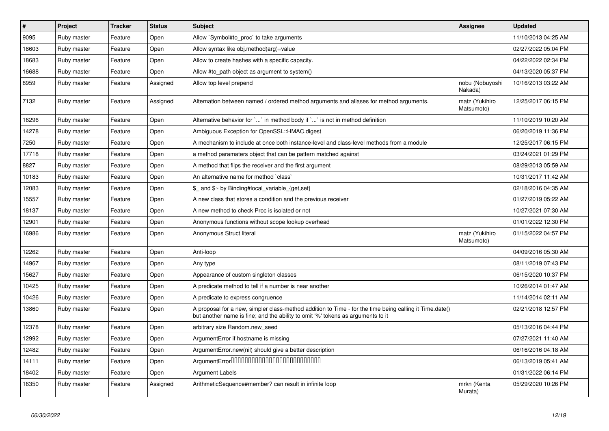| $\vert$ # | Project     | <b>Tracker</b> | <b>Status</b> | <b>Subject</b>                                                                                                                                                                             | <b>Assignee</b>              | <b>Updated</b>      |
|-----------|-------------|----------------|---------------|--------------------------------------------------------------------------------------------------------------------------------------------------------------------------------------------|------------------------------|---------------------|
| 9095      | Ruby master | Feature        | Open          | Allow `Symbol#to proc` to take arguments                                                                                                                                                   |                              | 11/10/2013 04:25 AM |
| 18603     | Ruby master | Feature        | Open          | Allow syntax like obj.method(arg)=value                                                                                                                                                    |                              | 02/27/2022 05:04 PM |
| 18683     | Ruby master | Feature        | Open          | Allow to create hashes with a specific capacity.                                                                                                                                           |                              | 04/22/2022 02:34 PM |
| 16688     | Ruby master | Feature        | Open          | Allow #to path object as argument to system()                                                                                                                                              |                              | 04/13/2020 05:37 PM |
| 8959      | Ruby master | Feature        | Assigned      | Allow top level prepend                                                                                                                                                                    | nobu (Nobuyoshi<br>Nakada)   | 10/16/2013 03:22 AM |
| 7132      | Ruby master | Feature        | Assigned      | Alternation between named / ordered method arguments and aliases for method arguments.                                                                                                     | matz (Yukihiro<br>Matsumoto) | 12/25/2017 06:15 PM |
| 16296     | Ruby master | Feature        | Open          | Alternative behavior for ` ` in method body if ` ` is not in method definition                                                                                                             |                              | 11/10/2019 10:20 AM |
| 14278     | Ruby master | Feature        | Open          | Ambiguous Exception for OpenSSL::HMAC.digest                                                                                                                                               |                              | 06/20/2019 11:36 PM |
| 7250      | Ruby master | Feature        | Open          | A mechanism to include at once both instance-level and class-level methods from a module                                                                                                   |                              | 12/25/2017 06:15 PM |
| 17718     | Ruby master | Feature        | Open          | a method paramaters object that can be pattern matched against                                                                                                                             |                              | 03/24/2021 01:29 PM |
| 8827      | Ruby master | Feature        | Open          | A method that flips the receiver and the first argument                                                                                                                                    |                              | 08/29/2013 05:59 AM |
| 10183     | Ruby master | Feature        | Open          | An alternative name for method `class`                                                                                                                                                     |                              | 10/31/2017 11:42 AM |
| 12083     | Ruby master | Feature        | Open          | \$ and \$~ by Binding#local variable {get,set}                                                                                                                                             |                              | 02/18/2016 04:35 AM |
| 15557     | Ruby master | Feature        | Open          | A new class that stores a condition and the previous receiver                                                                                                                              |                              | 01/27/2019 05:22 AM |
| 18137     | Ruby master | Feature        | Open          | A new method to check Proc is isolated or not                                                                                                                                              |                              | 10/27/2021 07:30 AM |
| 12901     | Ruby master | Feature        | Open          | Anonymous functions without scope lookup overhead                                                                                                                                          |                              | 01/01/2022 12:30 PM |
| 16986     | Ruby master | Feature        | Open          | Anonymous Struct literal                                                                                                                                                                   | matz (Yukihiro<br>Matsumoto) | 01/15/2022 04:57 PM |
| 12262     | Ruby master | Feature        | Open          | Anti-loop                                                                                                                                                                                  |                              | 04/09/2016 05:30 AM |
| 14967     | Ruby master | Feature        | Open          | Any type                                                                                                                                                                                   |                              | 08/11/2019 07:43 PM |
| 15627     | Ruby master | Feature        | Open          | Appearance of custom singleton classes                                                                                                                                                     |                              | 06/15/2020 10:37 PM |
| 10425     | Ruby master | Feature        | Open          | A predicate method to tell if a number is near another                                                                                                                                     |                              | 10/26/2014 01:47 AM |
| 10426     | Ruby master | Feature        | Open          | A predicate to express congruence                                                                                                                                                          |                              | 11/14/2014 02:11 AM |
| 13860     | Ruby master | Feature        | Open          | A proposal for a new, simpler class-method addition to Time - for the time being calling it Time.date()<br>but another name is fine; and the ability to omit '%' tokens as arguments to it |                              | 02/21/2018 12:57 PM |
| 12378     | Ruby master | Feature        | Open          | arbitrary size Random.new_seed                                                                                                                                                             |                              | 05/13/2016 04:44 PM |
| 12992     | Ruby master | Feature        | Open          | ArgumentError if hostname is missing                                                                                                                                                       |                              | 07/27/2021 11:40 AM |
| 12482     | Ruby master | Feature        | Open          | ArgumentError.new(nil) should give a better description                                                                                                                                    |                              | 06/16/2016 04:18 AM |
| 14111     | Ruby master | Feature        | Open          | ArgumentError00000000000000000000000000                                                                                                                                                    |                              | 06/13/2019 05:41 AM |
| 18402     | Ruby master | Feature        | Open          | Argument Labels                                                                                                                                                                            |                              | 01/31/2022 06:14 PM |
| 16350     | Ruby master | Feature        | Assigned      | ArithmeticSequence#member? can result in infinite loop                                                                                                                                     | mrkn (Kenta<br>Murata)       | 05/29/2020 10:26 PM |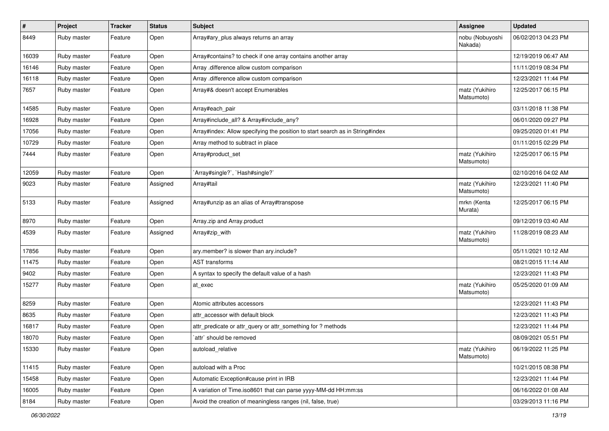| #     | Project     | <b>Tracker</b> | <b>Status</b> | <b>Subject</b>                                                                | <b>Assignee</b>              | <b>Updated</b>      |
|-------|-------------|----------------|---------------|-------------------------------------------------------------------------------|------------------------------|---------------------|
| 8449  | Ruby master | Feature        | Open          | Array#ary_plus always returns an array                                        | nobu (Nobuyoshi<br>Nakada)   | 06/02/2013 04:23 PM |
| 16039 | Ruby master | Feature        | Open          | Array#contains? to check if one array contains another array                  |                              | 12/19/2019 06:47 AM |
| 16146 | Ruby master | Feature        | Open          | Array .difference allow custom comparison                                     |                              | 11/11/2019 08:34 PM |
| 16118 | Ruby master | Feature        | Open          | Array .difference allow custom comparison                                     |                              | 12/23/2021 11:44 PM |
| 7657  | Ruby master | Feature        | Open          | Array#& doesn't accept Enumerables                                            | matz (Yukihiro<br>Matsumoto) | 12/25/2017 06:15 PM |
| 14585 | Ruby master | Feature        | Open          | Array#each pair                                                               |                              | 03/11/2018 11:38 PM |
| 16928 | Ruby master | Feature        | Open          | Array#include_all? & Array#include_any?                                       |                              | 06/01/2020 09:27 PM |
| 17056 | Ruby master | Feature        | Open          | Array#index: Allow specifying the position to start search as in String#index |                              | 09/25/2020 01:41 PM |
| 10729 | Ruby master | Feature        | Open          | Array method to subtract in place                                             |                              | 01/11/2015 02:29 PM |
| 7444  | Ruby master | Feature        | Open          | Array#product_set                                                             | matz (Yukihiro<br>Matsumoto) | 12/25/2017 06:15 PM |
| 12059 | Ruby master | Feature        | Open          | `Array#single?`, `Hash#single?`                                               |                              | 02/10/2016 04:02 AM |
| 9023  | Ruby master | Feature        | Assigned      | Array#tail                                                                    | matz (Yukihiro<br>Matsumoto) | 12/23/2021 11:40 PM |
| 5133  | Ruby master | Feature        | Assigned      | Array#unzip as an alias of Array#transpose                                    | mrkn (Kenta<br>Murata)       | 12/25/2017 06:15 PM |
| 8970  | Ruby master | Feature        | Open          | Array.zip and Array.product                                                   |                              | 09/12/2019 03:40 AM |
| 4539  | Ruby master | Feature        | Assigned      | Array#zip_with                                                                | matz (Yukihiro<br>Matsumoto) | 11/28/2019 08:23 AM |
| 17856 | Ruby master | Feature        | Open          | ary.member? is slower than ary.include?                                       |                              | 05/11/2021 10:12 AM |
| 11475 | Ruby master | Feature        | Open          | <b>AST</b> transforms                                                         |                              | 08/21/2015 11:14 AM |
| 9402  | Ruby master | Feature        | Open          | A syntax to specify the default value of a hash                               |                              | 12/23/2021 11:43 PM |
| 15277 | Ruby master | Feature        | Open          | at exec                                                                       | matz (Yukihiro<br>Matsumoto) | 05/25/2020 01:09 AM |
| 8259  | Ruby master | Feature        | Open          | Atomic attributes accessors                                                   |                              | 12/23/2021 11:43 PM |
| 8635  | Ruby master | Feature        | Open          | attr accessor with default block                                              |                              | 12/23/2021 11:43 PM |
| 16817 | Ruby master | Feature        | Open          | attr_predicate or attr_query or attr_something for ? methods                  |                              | 12/23/2021 11:44 PM |
| 18070 | Ruby master | Feature        | Open          | `attr` should be removed                                                      |                              | 08/09/2021 05:51 PM |
| 15330 | Ruby master | Feature        | Open          | autoload_relative                                                             | matz (Yukihiro<br>Matsumoto) | 06/19/2022 11:25 PM |
| 11415 | Ruby master | Feature        | Open          | autoload with a Proc                                                          |                              | 10/21/2015 08:38 PM |
| 15458 | Ruby master | Feature        | Open          | Automatic Exception#cause print in IRB                                        |                              | 12/23/2021 11:44 PM |
| 16005 | Ruby master | Feature        | Open          | A variation of Time.iso8601 that can parse yyyy-MM-dd HH:mm:ss                |                              | 06/16/2022 01:08 AM |
| 8184  | Ruby master | Feature        | Open          | Avoid the creation of meaningless ranges (nil, false, true)                   |                              | 03/29/2013 11:16 PM |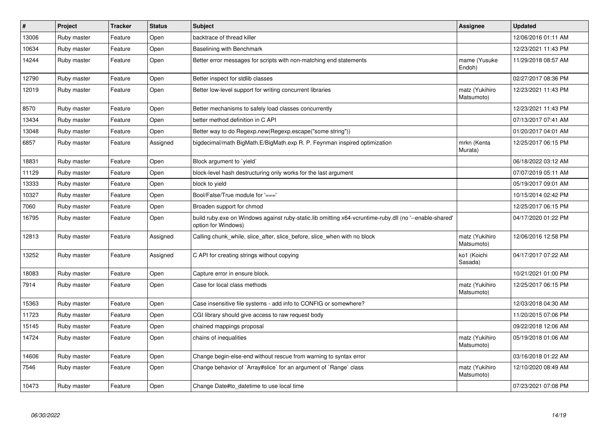| $\pmb{\#}$ | Project     | <b>Tracker</b> | <b>Status</b> | <b>Subject</b>                                                                                                                 | <b>Assignee</b>              | <b>Updated</b>      |
|------------|-------------|----------------|---------------|--------------------------------------------------------------------------------------------------------------------------------|------------------------------|---------------------|
| 13006      | Ruby master | Feature        | Open          | backtrace of thread killer                                                                                                     |                              | 12/06/2016 01:11 AM |
| 10634      | Ruby master | Feature        | Open          | Baselining with Benchmark                                                                                                      |                              | 12/23/2021 11:43 PM |
| 14244      | Ruby master | Feature        | Open          | Better error messages for scripts with non-matching end statements                                                             | mame (Yusuke<br>Endoh)       | 11/29/2018 08:57 AM |
| 12790      | Ruby master | Feature        | Open          | Better inspect for stdlib classes                                                                                              |                              | 02/27/2017 08:36 PM |
| 12019      | Ruby master | Feature        | Open          | Better low-level support for writing concurrent libraries                                                                      | matz (Yukihiro<br>Matsumoto) | 12/23/2021 11:43 PM |
| 8570       | Ruby master | Feature        | Open          | Better mechanisms to safely load classes concurrently                                                                          |                              | 12/23/2021 11:43 PM |
| 13434      | Ruby master | Feature        | Open          | better method definition in C API                                                                                              |                              | 07/13/2017 07:41 AM |
| 13048      | Ruby master | Feature        | Open          | Better way to do Regexp.new(Regexp.escape("some string"))                                                                      |                              | 01/20/2017 04:01 AM |
| 6857       | Ruby master | Feature        | Assigned      | bigdecimal/math BigMath.E/BigMath.exp R. P. Feynman inspired optimization                                                      | mrkn (Kenta<br>Murata)       | 12/25/2017 06:15 PM |
| 18831      | Ruby master | Feature        | Open          | Block argument to `yield`                                                                                                      |                              | 06/18/2022 03:12 AM |
| 11129      | Ruby master | Feature        | Open          | block-level hash destructuring only works for the last argument                                                                |                              | 07/07/2019 05:11 AM |
| 13333      | Ruby master | Feature        | Open          | block to yield                                                                                                                 |                              | 05/19/2017 09:01 AM |
| 10327      | Ruby master | Feature        | Open          | Bool/False/True module for '==='                                                                                               |                              | 10/15/2014 02:42 PM |
| 7060       | Ruby master | Feature        | Open          | Broaden support for chmod                                                                                                      |                              | 12/25/2017 06:15 PM |
| 16795      | Ruby master | Feature        | Open          | build ruby exe on Windows against ruby-static.lib omitting x64-vcruntime-ruby dll (no '--enable-shared'<br>option for Windows) |                              | 04/17/2020 01:22 PM |
| 12813      | Ruby master | Feature        | Assigned      | Calling chunk while, slice after, slice before, slice when with no block                                                       | matz (Yukihiro<br>Matsumoto) | 12/06/2016 12:58 PM |
| 13252      | Ruby master | Feature        | Assigned      | C API for creating strings without copying                                                                                     | ko1 (Koichi<br>Sasada)       | 04/17/2017 07:22 AM |
| 18083      | Ruby master | Feature        | Open          | Capture error in ensure block.                                                                                                 |                              | 10/21/2021 01:00 PM |
| 7914       | Ruby master | Feature        | Open          | Case for local class methods                                                                                                   | matz (Yukihiro<br>Matsumoto) | 12/25/2017 06:15 PM |
| 15363      | Ruby master | Feature        | Open          | Case insensitive file systems - add info to CONFIG or somewhere?                                                               |                              | 12/03/2018 04:30 AM |
| 11723      | Ruby master | Feature        | Open          | CGI library should give access to raw request body                                                                             |                              | 11/20/2015 07:06 PM |
| 15145      | Ruby master | Feature        | Open          | chained mappings proposal                                                                                                      |                              | 09/22/2018 12:06 AM |
| 14724      | Ruby master | Feature        | Open          | chains of inequalities                                                                                                         | matz (Yukihiro<br>Matsumoto) | 05/19/2018 01:06 AM |
| 14606      | Ruby master | Feature        | Open          | Change begin-else-end without rescue from warning to syntax error                                                              |                              | 03/16/2018 01:22 AM |
| 7546       | Ruby master | Feature        | Open          | Change behavior of `Array#slice` for an argument of `Range` class                                                              | matz (Yukihiro<br>Matsumoto) | 12/10/2020 08:49 AM |
| 10473      | Ruby master | Feature        | Open          | Change Date#to_datetime to use local time                                                                                      |                              | 07/23/2021 07:08 PM |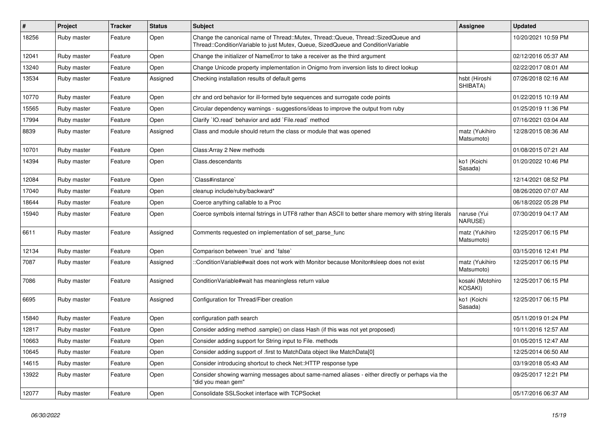| $\vert$ # | Project     | <b>Tracker</b> | <b>Status</b> | <b>Subject</b>                                                                                                                                                        | <b>Assignee</b>              | <b>Updated</b>      |
|-----------|-------------|----------------|---------------|-----------------------------------------------------------------------------------------------------------------------------------------------------------------------|------------------------------|---------------------|
| 18256     | Ruby master | Feature        | Open          | Change the canonical name of Thread::Mutex, Thread::Queue, Thread::SizedQueue and<br>Thread::ConditionVariable to just Mutex, Queue, SizedQueue and ConditionVariable |                              | 10/20/2021 10:59 PM |
| 12041     | Ruby master | Feature        | Open          | Change the initializer of NameError to take a receiver as the third argument                                                                                          |                              | 02/12/2016 05:37 AM |
| 13240     | Ruby master | Feature        | Open          | Change Unicode property implementation in Onigmo from inversion lists to direct lookup                                                                                |                              | 02/22/2017 08:01 AM |
| 13534     | Ruby master | Feature        | Assigned      | Checking installation results of default gems                                                                                                                         | hsbt (Hiroshi<br>SHIBATA)    | 07/26/2018 02:16 AM |
| 10770     | Ruby master | Feature        | Open          | chr and ord behavior for ill-formed byte sequences and surrogate code points                                                                                          |                              | 01/22/2015 10:19 AM |
| 15565     | Ruby master | Feature        | Open          | Circular dependency warnings - suggestions/ideas to improve the output from ruby                                                                                      |                              | 01/25/2019 11:36 PM |
| 17994     | Ruby master | Feature        | Open          | Clarify 'IO.read' behavior and add 'File.read' method                                                                                                                 |                              | 07/16/2021 03:04 AM |
| 8839      | Ruby master | Feature        | Assigned      | Class and module should return the class or module that was opened                                                                                                    | matz (Yukihiro<br>Matsumoto) | 12/28/2015 08:36 AM |
| 10701     | Ruby master | Feature        | Open          | Class: Array 2 New methods                                                                                                                                            |                              | 01/08/2015 07:21 AM |
| 14394     | Ruby master | Feature        | Open          | Class.descendants                                                                                                                                                     | ko1 (Koichi<br>Sasada)       | 01/20/2022 10:46 PM |
| 12084     | Ruby master | Feature        | Open          | Class#instance`                                                                                                                                                       |                              | 12/14/2021 08:52 PM |
| 17040     | Ruby master | Feature        | Open          | cleanup include/ruby/backward*                                                                                                                                        |                              | 08/26/2020 07:07 AM |
| 18644     | Ruby master | Feature        | Open          | Coerce anything callable to a Proc                                                                                                                                    |                              | 06/18/2022 05:28 PM |
| 15940     | Ruby master | Feature        | Open          | Coerce symbols internal fstrings in UTF8 rather than ASCII to better share memory with string literals                                                                | naruse (Yui<br>NARUSE)       | 07/30/2019 04:17 AM |
| 6611      | Ruby master | Feature        | Assigned      | Comments requested on implementation of set parse func                                                                                                                | matz (Yukihiro<br>Matsumoto) | 12/25/2017 06:15 PM |
| 12134     | Ruby master | Feature        | Open          | Comparison between 'true' and 'false'                                                                                                                                 |                              | 03/15/2016 12:41 PM |
| 7087      | Ruby master | Feature        | Assigned      | :ConditionVariable#wait does not work with Monitor because Monitor#sleep does not exist                                                                               | matz (Yukihiro<br>Matsumoto) | 12/25/2017 06:15 PM |
| 7086      | Ruby master | Feature        | Assigned      | ConditionVariable#wait has meaningless return value                                                                                                                   | kosaki (Motohiro<br>KOSAKI)  | 12/25/2017 06:15 PM |
| 6695      | Ruby master | Feature        | Assigned      | Configuration for Thread/Fiber creation                                                                                                                               | ko1 (Koichi<br>Sasada)       | 12/25/2017 06:15 PM |
| 15840     | Ruby master | Feature        | Open          | configuration path search                                                                                                                                             |                              | 05/11/2019 01:24 PM |
| 12817     | Ruby master | Feature        | Open          | Consider adding method .sample() on class Hash (if this was not yet proposed)                                                                                         |                              | 10/11/2016 12:57 AM |
| 10663     | Ruby master | Feature        | Open          | Consider adding support for String input to File. methods                                                                                                             |                              | 01/05/2015 12:47 AM |
| 10645     | Ruby master | Feature        | Open          | Consider adding support of .first to MatchData object like MatchData[0]                                                                                               |                              | 12/25/2014 06:50 AM |
| 14615     | Ruby master | Feature        | Open          | Consider introducing shortcut to check Net::HTTP response type                                                                                                        |                              | 03/19/2018 05:43 AM |
| 13922     | Ruby master | Feature        | Open          | Consider showing warning messages about same-named aliases - either directly or perhaps via the<br>"did you mean gem"                                                 |                              | 09/25/2017 12:21 PM |
| 12077     | Ruby master | Feature        | Open          | Consolidate SSLSocket interface with TCPSocket                                                                                                                        |                              | 05/17/2016 06:37 AM |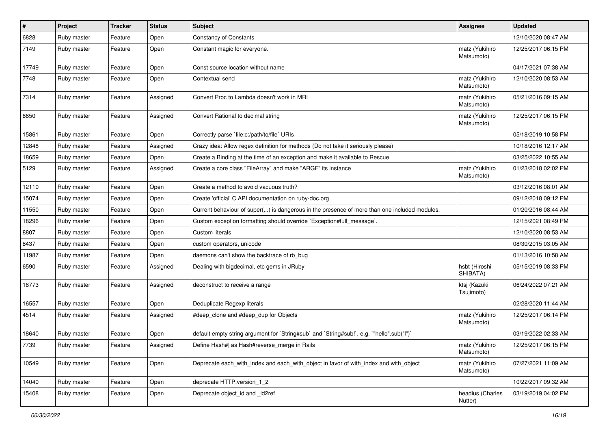| #     | Project     | <b>Tracker</b> | <b>Status</b> | <b>Subject</b>                                                                               | <b>Assignee</b>              | <b>Updated</b>      |
|-------|-------------|----------------|---------------|----------------------------------------------------------------------------------------------|------------------------------|---------------------|
| 6828  | Ruby master | Feature        | Open          | <b>Constancy of Constants</b>                                                                |                              | 12/10/2020 08:47 AM |
| 7149  | Ruby master | Feature        | Open          | Constant magic for everyone.                                                                 | matz (Yukihiro<br>Matsumoto) | 12/25/2017 06:15 PM |
| 17749 | Ruby master | Feature        | Open          | Const source location without name                                                           |                              | 04/17/2021 07:38 AM |
| 7748  | Ruby master | Feature        | Open          | Contextual send                                                                              | matz (Yukihiro<br>Matsumoto) | 12/10/2020 08:53 AM |
| 7314  | Ruby master | Feature        | Assigned      | Convert Proc to Lambda doesn't work in MRI                                                   | matz (Yukihiro<br>Matsumoto) | 05/21/2016 09:15 AM |
| 8850  | Ruby master | Feature        | Assigned      | Convert Rational to decimal string                                                           | matz (Yukihiro<br>Matsumoto) | 12/25/2017 06:15 PM |
| 15861 | Ruby master | Feature        | Open          | Correctly parse `file:c:/path/to/file` URIs                                                  |                              | 05/18/2019 10:58 PM |
| 12848 | Ruby master | Feature        | Assigned      | Crazy idea: Allow regex definition for methods (Do not take it seriously please)             |                              | 10/18/2016 12:17 AM |
| 18659 | Ruby master | Feature        | Open          | Create a Binding at the time of an exception and make it available to Rescue                 |                              | 03/25/2022 10:55 AM |
| 5129  | Ruby master | Feature        | Assigned      | Create a core class "FileArray" and make "ARGF" its instance                                 | matz (Yukihiro<br>Matsumoto) | 01/23/2018 02:02 PM |
| 12110 | Ruby master | Feature        | Open          | Create a method to avoid vacuous truth?                                                      |                              | 03/12/2016 08:01 AM |
| 15074 | Ruby master | Feature        | Open          | Create 'official' C API documentation on ruby-doc.org                                        |                              | 09/12/2018 09:12 PM |
| 11550 | Ruby master | Feature        | Open          | Current behaviour of super() is dangerous in the presence of more than one included modules. |                              | 01/20/2016 08:44 AM |
| 18296 | Ruby master | Feature        | Open          | Custom exception formatting should override `Exception#full_message`.                        |                              | 12/15/2021 08:49 PM |
| 8807  | Ruby master | Feature        | Open          | <b>Custom literals</b>                                                                       |                              | 12/10/2020 08:53 AM |
| 8437  | Ruby master | Feature        | Open          | custom operators, unicode                                                                    |                              | 08/30/2015 03:05 AM |
| 11987 | Ruby master | Feature        | Open          | daemons can't show the backtrace of rb bug                                                   |                              | 01/13/2016 10:58 AM |
| 6590  | Ruby master | Feature        | Assigned      | Dealing with bigdecimal, etc gems in JRuby                                                   | hsbt (Hiroshi<br>SHIBATA)    | 05/15/2019 08:33 PM |
| 18773 | Ruby master | Feature        | Assigned      | deconstruct to receive a range                                                               | ktsj (Kazuki<br>Tsujimoto)   | 06/24/2022 07:21 AM |
| 16557 | Ruby master | Feature        | Open          | Deduplicate Regexp literals                                                                  |                              | 02/28/2020 11:44 AM |
| 4514  | Ruby master | Feature        | Assigned      | #deep_clone and #deep_dup for Objects                                                        | matz (Yukihiro<br>Matsumoto) | 12/25/2017 06:14 PM |
| 18640 | Ruby master | Feature        | Open          | default empty string argument for `String#sub` and `String#sub!`, e.g. `"hello".sub("I")`    |                              | 03/19/2022 02:33 AM |
| 7739  | Ruby master | Feature        | Assigned      | Define Hash#  as Hash#reverse_merge in Rails                                                 | matz (Yukihiro<br>Matsumoto) | 12/25/2017 06:15 PM |
| 10549 | Ruby master | Feature        | Open          | Deprecate each with index and each with object in favor of with index and with object        | matz (Yukihiro<br>Matsumoto) | 07/27/2021 11:09 AM |
| 14040 | Ruby master | Feature        | Open          | deprecate HTTP.version 1 2                                                                   |                              | 10/22/2017 09:32 AM |
| 15408 | Ruby master | Feature        | Open          | Deprecate object id and id2ref                                                               | headius (Charles<br>Nutter)  | 03/19/2019 04:02 PM |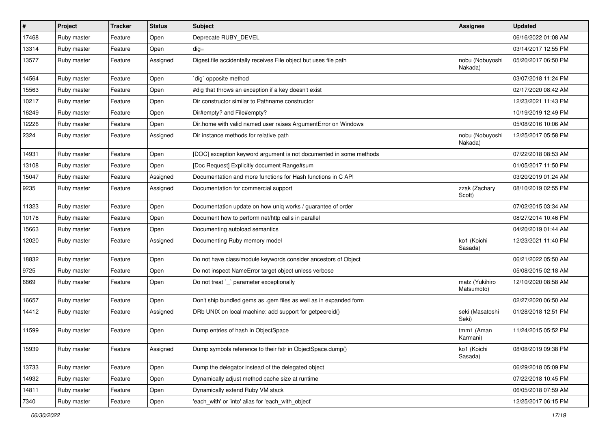| #     | Project     | <b>Tracker</b> | <b>Status</b> | Subject                                                            | <b>Assignee</b>              | <b>Updated</b>      |
|-------|-------------|----------------|---------------|--------------------------------------------------------------------|------------------------------|---------------------|
| 17468 | Ruby master | Feature        | Open          | Deprecate RUBY_DEVEL                                               |                              | 06/16/2022 01:08 AM |
| 13314 | Ruby master | Feature        | Open          | $dig =$                                                            |                              | 03/14/2017 12:55 PM |
| 13577 | Ruby master | Feature        | Assigned      | Digest file accidentally receives File object but uses file path   | nobu (Nobuyoshi<br>Nakada)   | 05/20/2017 06:50 PM |
| 14564 | Ruby master | Feature        | Open          | dig` opposite method                                               |                              | 03/07/2018 11:24 PM |
| 15563 | Ruby master | Feature        | Open          | #dig that throws an exception if a key doesn't exist               |                              | 02/17/2020 08:42 AM |
| 10217 | Ruby master | Feature        | Open          | Dir constructor similar to Pathname constructor                    |                              | 12/23/2021 11:43 PM |
| 16249 | Ruby master | Feature        | Open          | Dir#empty? and File#empty?                                         |                              | 10/19/2019 12:49 PM |
| 12226 | Ruby master | Feature        | Open          | Dir.home with valid named user raises ArgumentError on Windows     |                              | 05/08/2016 10:06 AM |
| 2324  | Ruby master | Feature        | Assigned      | Dir instance methods for relative path                             | nobu (Nobuyoshi<br>Nakada)   | 12/25/2017 05:58 PM |
| 14931 | Ruby master | Feature        | Open          | [DOC] exception keyword argument is not documented in some methods |                              | 07/22/2018 08:53 AM |
| 13108 | Ruby master | Feature        | Open          | [Doc Request] Explicitly document Range#sum                        |                              | 01/05/2017 11:50 PM |
| 15047 | Ruby master | Feature        | Assigned      | Documentation and more functions for Hash functions in C API       |                              | 03/20/2019 01:24 AM |
| 9235  | Ruby master | Feature        | Assigned      | Documentation for commercial support                               | zzak (Zachary<br>Scott)      | 08/10/2019 02:55 PM |
| 11323 | Ruby master | Feature        | Open          | Documentation update on how uniq works / guarantee of order        |                              | 07/02/2015 03:34 AM |
| 10176 | Ruby master | Feature        | Open          | Document how to perform net/http calls in parallel                 |                              | 08/27/2014 10:46 PM |
| 15663 | Ruby master | Feature        | Open          | Documenting autoload semantics                                     |                              | 04/20/2019 01:44 AM |
| 12020 | Ruby master | Feature        | Assigned      | Documenting Ruby memory model                                      | ko1 (Koichi<br>Sasada)       | 12/23/2021 11:40 PM |
| 18832 | Ruby master | Feature        | Open          | Do not have class/module keywords consider ancestors of Object     |                              | 06/21/2022 05:50 AM |
| 9725  | Ruby master | Feature        | Open          | Do not inspect NameError target object unless verbose              |                              | 05/08/2015 02:18 AM |
| 6869  | Ruby master | Feature        | Open          | Do not treat `_` parameter exceptionally                           | matz (Yukihiro<br>Matsumoto) | 12/10/2020 08:58 AM |
| 16657 | Ruby master | Feature        | Open          | Don't ship bundled gems as .gem files as well as in expanded form  |                              | 02/27/2020 06:50 AM |
| 14412 | Ruby master | Feature        | Assigned      | DRb UNIX on local machine: add support for getpeereid()            | seki (Masatoshi<br>Seki)     | 01/28/2018 12:51 PM |
| 11599 | Ruby master | Feature        | Open          | Dump entries of hash in ObjectSpace                                | tmm1 (Aman<br>Karmani)       | 11/24/2015 05:52 PM |
| 15939 | Ruby master | Feature        | Assigned      | Dump symbols reference to their fstr in ObjectSpace.dump()         | ko1 (Koichi<br>Sasada)       | 08/08/2019 09:38 PM |
| 13733 | Ruby master | Feature        | Open          | Dump the delegator instead of the delegated object                 |                              | 06/29/2018 05:09 PM |
| 14932 | Ruby master | Feature        | Open          | Dynamically adjust method cache size at runtime                    |                              | 07/22/2018 10:45 PM |
| 14811 | Ruby master | Feature        | Open          | Dynamically extend Ruby VM stack                                   |                              | 06/05/2018 07:59 AM |
| 7340  | Ruby master | Feature        | Open          | 'each_with' or 'into' alias for 'each_with_object'                 |                              | 12/25/2017 06:15 PM |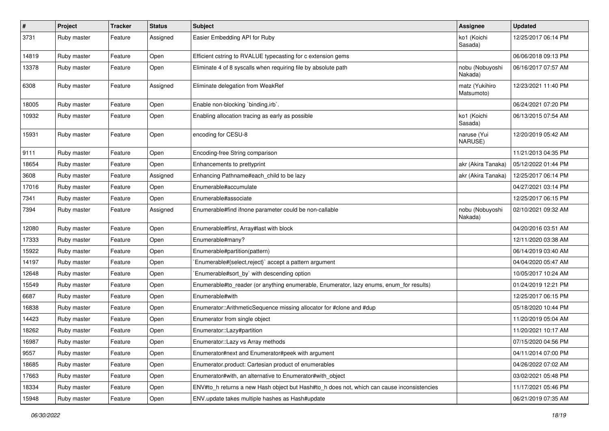| $\vert$ # | Project     | <b>Tracker</b> | <b>Status</b> | <b>Subject</b>                                                                             | Assignee                     | <b>Updated</b>      |
|-----------|-------------|----------------|---------------|--------------------------------------------------------------------------------------------|------------------------------|---------------------|
| 3731      | Ruby master | Feature        | Assigned      | Easier Embedding API for Ruby                                                              | ko1 (Koichi<br>Sasada)       | 12/25/2017 06:14 PM |
| 14819     | Ruby master | Feature        | Open          | Efficient cstring to RVALUE typecasting for c extension gems                               |                              | 06/06/2018 09:13 PM |
| 13378     | Ruby master | Feature        | Open          | Eliminate 4 of 8 syscalls when requiring file by absolute path                             | nobu (Nobuyoshi<br>Nakada)   | 06/16/2017 07:57 AM |
| 6308      | Ruby master | Feature        | Assigned      | Eliminate delegation from WeakRef                                                          | matz (Yukihiro<br>Matsumoto) | 12/23/2021 11:40 PM |
| 18005     | Ruby master | Feature        | Open          | Enable non-blocking `binding.irb`.                                                         |                              | 06/24/2021 07:20 PM |
| 10932     | Ruby master | Feature        | Open          | Enabling allocation tracing as early as possible                                           | ko1 (Koichi<br>Sasada)       | 06/13/2015 07:54 AM |
| 15931     | Ruby master | Feature        | Open          | encoding for CESU-8                                                                        | naruse (Yui<br>NARUSE)       | 12/20/2019 05:42 AM |
| 9111      | Ruby master | Feature        | Open          | Encoding-free String comparison                                                            |                              | 11/21/2013 04:35 PM |
| 18654     | Ruby master | Feature        | Open          | Enhancements to prettyprint                                                                | akr (Akira Tanaka)           | 05/12/2022 01:44 PM |
| 3608      | Ruby master | Feature        | Assigned      | Enhancing Pathname#each child to be lazy                                                   | akr (Akira Tanaka)           | 12/25/2017 06:14 PM |
| 17016     | Ruby master | Feature        | Open          | Enumerable#accumulate                                                                      |                              | 04/27/2021 03:14 PM |
| 7341      | Ruby master | Feature        | Open          | Enumerable#associate                                                                       |                              | 12/25/2017 06:15 PM |
| 7394      | Ruby master | Feature        | Assigned      | Enumerable#find ifnone parameter could be non-callable                                     | nobu (Nobuyoshi<br>Nakada)   | 02/10/2021 09:32 AM |
| 12080     | Ruby master | Feature        | Open          | Enumerable#first, Array#last with block                                                    |                              | 04/20/2016 03:51 AM |
| 17333     | Ruby master | Feature        | Open          | Enumerable#many?                                                                           |                              | 12/11/2020 03:38 AM |
| 15922     | Ruby master | Feature        | Open          | Enumerable#partition(pattern)                                                              |                              | 06/14/2019 03:40 AM |
| 14197     | Ruby master | Feature        | Open          | Enumerable#{select,reject}` accept a pattern argument                                      |                              | 04/04/2020 05:47 AM |
| 12648     | Ruby master | Feature        | Open          | Enumerable#sort_by` with descending option                                                 |                              | 10/05/2017 10:24 AM |
| 15549     | Ruby master | Feature        | Open          | Enumerable#to_reader (or anything enumerable, Enumerator, lazy enums, enum_for results)    |                              | 01/24/2019 12:21 PM |
| 6687      | Ruby master | Feature        | Open          | Enumerable#with                                                                            |                              | 12/25/2017 06:15 PM |
| 16838     | Ruby master | Feature        | Open          | Enumerator::ArithmeticSequence missing allocator for #clone and #dup                       |                              | 05/18/2020 10:44 PM |
| 14423     | Ruby master | Feature        | Open          | Enumerator from single object                                                              |                              | 11/20/2019 05:04 AM |
| 18262     | Ruby master | Feature        | Open          | Enumerator::Lazy#partition                                                                 |                              | 11/20/2021 10:17 AM |
| 16987     | Ruby master | Feature        | Open          | Enumerator::Lazy vs Array methods                                                          |                              | 07/15/2020 04:56 PM |
| 9557      | Ruby master | Feature        | Open          | Enumerator#next and Enumerator#peek with argument                                          |                              | 04/11/2014 07:00 PM |
| 18685     | Ruby master | Feature        | Open          | Enumerator.product: Cartesian product of enumerables                                       |                              | 04/26/2022 07:02 AM |
| 17663     | Ruby master | Feature        | Open          | Enumerator#with, an alternative to Enumerator#with_object                                  |                              | 03/02/2021 05:48 PM |
| 18334     | Ruby master | Feature        | Open          | ENV#to h returns a new Hash object but Hash#to h does not, which can cause inconsistencies |                              | 11/17/2021 05:46 PM |
| 15948     | Ruby master | Feature        | Open          | ENV.update takes multiple hashes as Hash#update                                            |                              | 06/21/2019 07:35 AM |